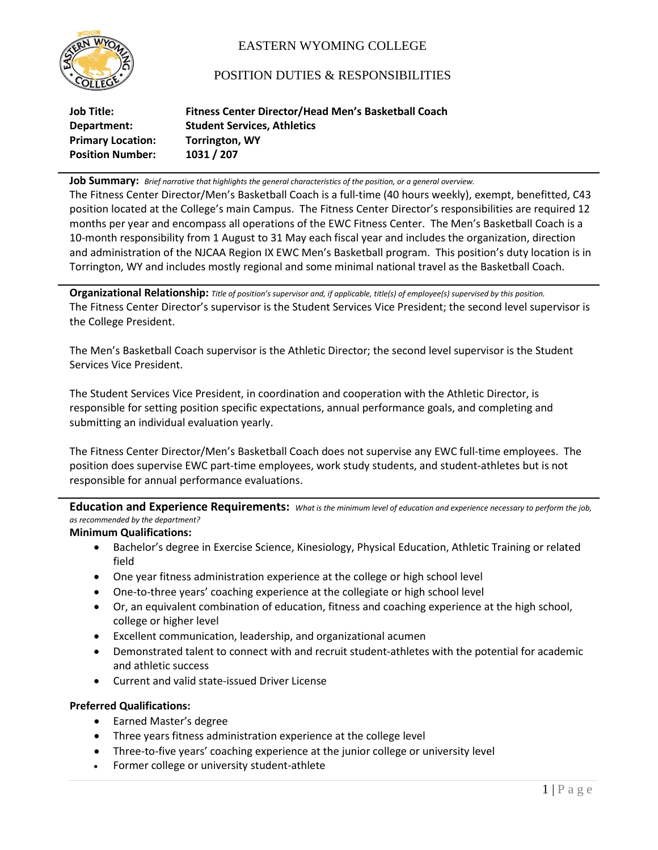

# EASTERN WYOMING COLLEGE

## POSITION DUTIES & RESPONSIBILITIES

| Job Title:               | Fitness Center Director/Head Men's Basketball Coach |
|--------------------------|-----------------------------------------------------|
| Department:              | <b>Student Services, Athletics</b>                  |
| <b>Primary Location:</b> | <b>Torrington, WY</b>                               |
| <b>Position Number:</b>  | 1031 / 207                                          |

**Job Summary:** *Brief narrative that highlights the general characteristics of the position, or a general overview.*

The Fitness Center Director/Men's Basketball Coach is a full-time (40 hours weekly), exempt, benefitted, C43 position located at the College's main Campus. The Fitness Center Director's responsibilities are required 12 months per year and encompass all operations of the EWC Fitness Center. The Men's Basketball Coach is a 10-month responsibility from 1 August to 31 May each fiscal year and includes the organization, direction and administration of the NJCAA Region IX EWC Men's Basketball program. This position's duty location is in Torrington, WY and includes mostly regional and some minimal national travel as the Basketball Coach.

**Organizational Relationship:** *Title of position's supervisor and, if applicable, title(s) of employee(s) supervised by this position.* The Fitness Center Director's supervisor is the Student Services Vice President; the second level supervisor is the College President.

The Men's Basketball Coach supervisor is the Athletic Director; the second level supervisor is the Student Services Vice President.

The Student Services Vice President, in coordination and cooperation with the Athletic Director, is responsible for setting position specific expectations, annual performance goals, and completing and submitting an individual evaluation yearly.

The Fitness Center Director/Men's Basketball Coach does not supervise any EWC full-time employees. The position does supervise EWC part-time employees, work study students, and student-athletes but is not responsible for annual performance evaluations.

**Education and Experience Requirements:** *What is the minimum level of education and experience necessary to perform the job, as recommended by the department?*

#### **Minimum Qualifications:**

- Bachelor's degree in Exercise Science, Kinesiology, Physical Education, Athletic Training or related field
- One year fitness administration experience at the college or high school level
- One-to-three years' coaching experience at the collegiate or high school level
- Or, an equivalent combination of education, fitness and coaching experience at the high school, college or higher level
- Excellent communication, leadership, and organizational acumen
- Demonstrated talent to connect with and recruit student-athletes with the potential for academic and athletic success
- Current and valid state-issued Driver License

### **Preferred Qualifications:**

- Earned Master's degree
- Three years fitness administration experience at the college level
- Three-to-five years' coaching experience at the junior college or university level
- Former college or university student-athlete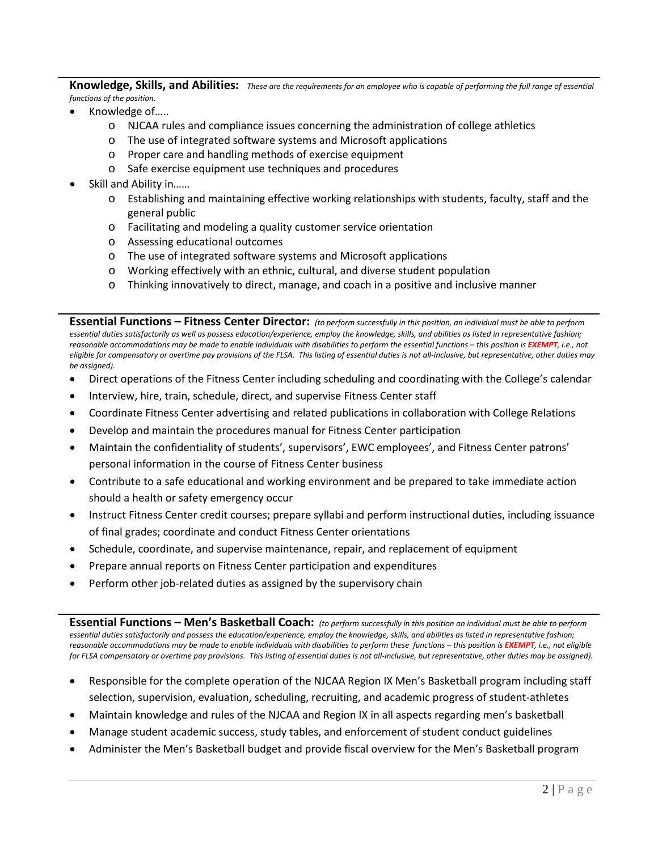**Knowledge, Skills, and Abilities:** *These are the requirements for an employee who is capable of performing the full range of essential functions of the position.*

- Knowledge of…..
	- o NJCAA rules and compliance issues concerning the administration of college athletics
	- o The use of integrated software systems and Microsoft applications
	- o Proper care and handling methods of exercise equipment
	- o Safe exercise equipment use techniques and procedures
- Skill and Ability in……
	- $\circ$  Establishing and maintaining effective working relationships with students, faculty, staff and the general public
	- o Facilitating and modeling a quality customer service orientation
	- o Assessing educational outcomes
	- o The use of integrated software systems and Microsoft applications
	- o Working effectively with an ethnic, cultural, and diverse student population
	- o Thinking innovatively to direct, manage, and coach in a positive and inclusive manner

**Essential Functions – Fitness Center Director:** *(to perform successfully in this position, an individual must be able to perform*  essential duties satisfactorily as well as possess education/experience, employ the knowledge, skills, and abilities as listed in representative fashion; *reasonable accommodations may be made to enable individuals with disabilities to perform the essential functions – this position is EXEMPT, i.e., not eligible for compensatory or overtime pay provisions of the FLSA. This listing of essential duties is not all-inclusive, but representative, other duties may be assigned).*

- Direct operations of the Fitness Center including scheduling and coordinating with the College's calendar
- Interview, hire, train, schedule, direct, and supervise Fitness Center staff
- Coordinate Fitness Center advertising and related publications in collaboration with College Relations
- Develop and maintain the procedures manual for Fitness Center participation
- Maintain the confidentiality of students', supervisors', EWC employees', and Fitness Center patrons' personal information in the course of Fitness Center business
- Contribute to a safe educational and working environment and be prepared to take immediate action should a health or safety emergency occur
- Instruct Fitness Center credit courses; prepare syllabi and perform instructional duties, including issuance of final grades; coordinate and conduct Fitness Center orientations
- Schedule, coordinate, and supervise maintenance, repair, and replacement of equipment
- Prepare annual reports on Fitness Center participation and expenditures
- Perform other job-related duties as assigned by the supervisory chain

**Essential Functions – Men's Basketball Coach:** *(to perform successfully in this position an individual must be able to perform essential duties satisfactorily and possess the education/experience, employ the knowledge, skills, and abilities as listed in representative fashion; reasonable accommodations may be made to enable individuals with disabilities to perform these functions – this position is EXEMPT, i.e., not eligible for FLSA compensatory or overtime pay provisions. This listing of essential duties is not all-inclusive, but representative, other duties may be assigned).*

- Responsible for the complete operation of the NJCAA Region IX Men's Basketball program including staff selection, supervision, evaluation, scheduling, recruiting, and academic progress of student-athletes
- Maintain knowledge and rules of the NJCAA and Region IX in all aspects regarding men's basketball
- Manage student academic success, study tables, and enforcement of student conduct guidelines
- Administer the Men's Basketball budget and provide fiscal overview for the Men's Basketball program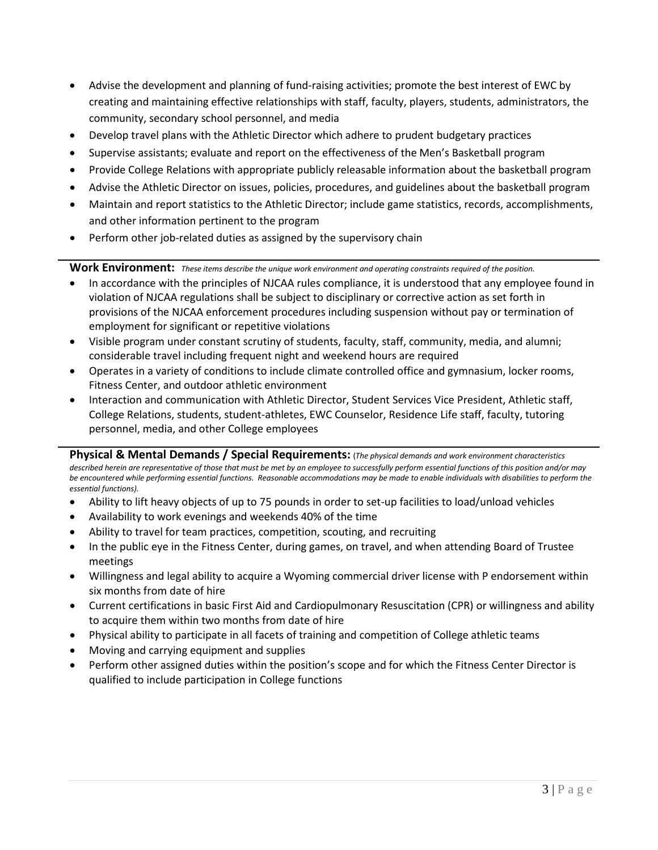- Advise the development and planning of fund-raising activities; promote the best interest of EWC by creating and maintaining effective relationships with staff, faculty, players, students, administrators, the community, secondary school personnel, and media
- Develop travel plans with the Athletic Director which adhere to prudent budgetary practices
- Supervise assistants; evaluate and report on the effectiveness of the Men's Basketball program
- Provide College Relations with appropriate publicly releasable information about the basketball program
- Advise the Athletic Director on issues, policies, procedures, and guidelines about the basketball program
- Maintain and report statistics to the Athletic Director; include game statistics, records, accomplishments, and other information pertinent to the program
- Perform other job-related duties as assigned by the supervisory chain

**Work Environment:** *These items describe the unique work environment and operating constraints required of the position.*

- In accordance with the principles of NJCAA rules compliance, it is understood that any employee found in violation of NJCAA regulations shall be subject to disciplinary or corrective action as set forth in provisions of the NJCAA enforcement procedures including suspension without pay or termination of employment for significant or repetitive violations
- Visible program under constant scrutiny of students, faculty, staff, community, media, and alumni; considerable travel including frequent night and weekend hours are required
- Operates in a variety of conditions to include climate controlled office and gymnasium, locker rooms, Fitness Center, and outdoor athletic environment
- Interaction and communication with Athletic Director, Student Services Vice President, Athletic staff, College Relations, students, student-athletes, EWC Counselor, Residence Life staff, faculty, tutoring personnel, media, and other College employees

**Physical & Mental Demands / Special Requirements:** (*The physical demands and work environment characteristics described herein are representative of those that must be met by an employee to successfully perform essential functions of this position and/or may be encountered while performing essential functions. Reasonable accommodations may be made to enable individuals with disabilities to perform the essential functions).*

- Ability to lift heavy objects of up to 75 pounds in order to set-up facilities to load/unload vehicles
- Availability to work evenings and weekends 40% of the time
- Ability to travel for team practices, competition, scouting, and recruiting
- In the public eye in the Fitness Center, during games, on travel, and when attending Board of Trustee meetings
- Willingness and legal ability to acquire a Wyoming commercial driver license with P endorsement within six months from date of hire
- Current certifications in basic First Aid and Cardiopulmonary Resuscitation (CPR) or willingness and ability to acquire them within two months from date of hire
- Physical ability to participate in all facets of training and competition of College athletic teams
- Moving and carrying equipment and supplies
- Perform other assigned duties within the position's scope and for which the Fitness Center Director is qualified to include participation in College functions